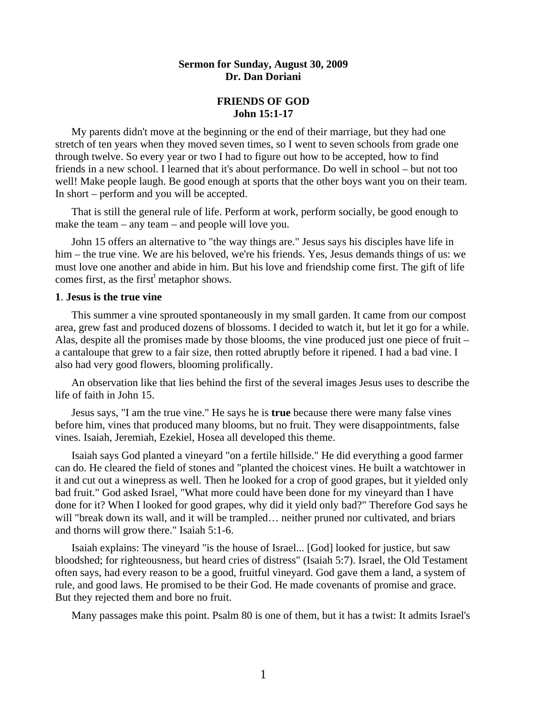# **Sermon for Sunday, August 30, 2009 Dr. Dan Doriani**

## **FRIENDS OF GOD John 15:1-17**

 My parents didn't move at the beginning or the end of their marriage, but they had one stretch of ten years when they moved seven times, so I went to seven schools from grade one through twelve. So every year or two I had to figure out how to be accepted, how to find friends in a new school. I learned that it's about performance. Do well in school – but not too well! Make people laugh. Be good enough at sports that the other boys want you on their team. In short – perform and you will be accepted.

 That is still the general rule of life. Perform at work, perform socially, be good enough to make the team – any team – and people will love you.

 John 15 offers an alternative to "the way things are." Jesus says his disciples have life in him – the true vine. We are his beloved, we're his friends. Yes, Jesus demands things of us: we must love one another and abide in him. But his love and friendship come first. The gift of life comes first, as the first<sup>t</sup> metaphor shows.

# **1**. **Jesus is the true vine**

 This summer a vine sprouted spontaneously in my small garden. It came from our compost area, grew fast and produced dozens of blossoms. I decided to watch it, but let it go for a while. Alas, despite all the promises made by those blooms, the vine produced just one piece of fruit – a cantaloupe that grew to a fair size, then rotted abruptly before it ripened. I had a bad vine. I also had very good flowers, blooming prolifically.

 An observation like that lies behind the first of the several images Jesus uses to describe the life of faith in John 15.

 Jesus says, "I am the true vine." He says he is **true** because there were many false vines before him, vines that produced many blooms, but no fruit. They were disappointments, false vines. Isaiah, Jeremiah, Ezekiel, Hosea all developed this theme.

 Isaiah says God planted a vineyard "on a fertile hillside." He did everything a good farmer can do. He cleared the field of stones and "planted the choicest vines. He built a watchtower in it and cut out a winepress as well. Then he looked for a crop of good grapes, but it yielded only bad fruit." God asked Israel, "What more could have been done for my vineyard than I have done for it? When I looked for good grapes, why did it yield only bad?" Therefore God says he will "break down its wall, and it will be trampled... neither pruned nor cultivated, and briars and thorns will grow there." Isaiah 5:1-6.

 Isaiah explains: The vineyard "is the house of Israel... [God] looked for justice, but saw bloodshed; for righteousness, but heard cries of distress" (Isaiah 5:7). Israel, the Old Testament often says, had every reason to be a good, fruitful vineyard. God gave them a land, a system of rule, and good laws. He promised to be their God. He made covenants of promise and grace. But they rejected them and bore no fruit.

Many passages make this point. Psalm 80 is one of them, but it has a twist: It admits Israel's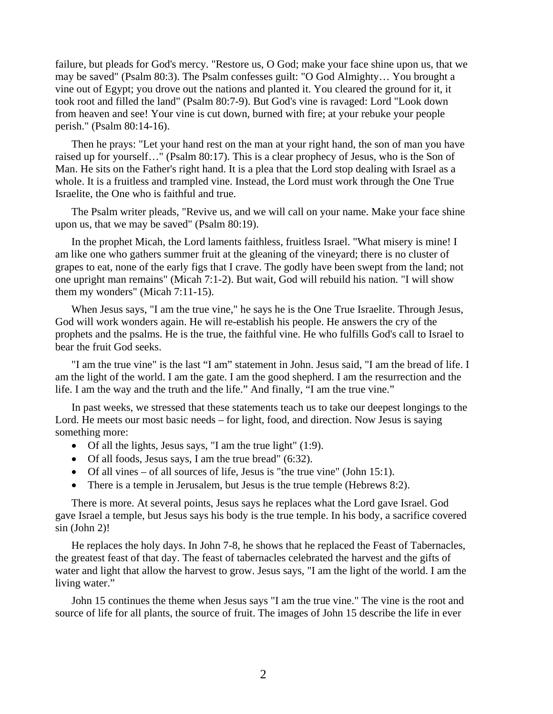failure, but pleads for God's mercy. "Restore us, O God; make your face shine upon us, that we may be saved" (Psalm 80:3). The Psalm confesses guilt: "O God Almighty… You brought a vine out of Egypt; you drove out the nations and planted it. You cleared the ground for it, it took root and filled the land" (Psalm 80:7-9). But God's vine is ravaged: Lord "Look down from heaven and see! Your vine is cut down, burned with fire; at your rebuke your people perish." (Psalm 80:14-16).

 Then he prays: "Let your hand rest on the man at your right hand, the son of man you have raised up for yourself…" (Psalm 80:17). This is a clear prophecy of Jesus, who is the Son of Man. He sits on the Father's right hand. It is a plea that the Lord stop dealing with Israel as a whole. It is a fruitless and trampled vine. Instead, the Lord must work through the One True Israelite, the One who is faithful and true.

 The Psalm writer pleads, "Revive us, and we will call on your name. Make your face shine upon us, that we may be saved" (Psalm 80:19).

 In the prophet Micah, the Lord laments faithless, fruitless Israel. "What misery is mine! I am like one who gathers summer fruit at the gleaning of the vineyard; there is no cluster of grapes to eat, none of the early figs that I crave. The godly have been swept from the land; not one upright man remains" (Micah 7:1-2). But wait, God will rebuild his nation. "I will show them my wonders" (Micah 7:11-15).

 When Jesus says, "I am the true vine," he says he is the One True Israelite. Through Jesus, God will work wonders again. He will re-establish his people. He answers the cry of the prophets and the psalms. He is the true, the faithful vine. He who fulfills God's call to Israel to bear the fruit God seeks.

 "I am the true vine" is the last "I am" statement in John. Jesus said, "I am the bread of life. I am the light of the world. I am the gate. I am the good shepherd. I am the resurrection and the life. I am the way and the truth and the life." And finally, "I am the true vine."

 In past weeks, we stressed that these statements teach us to take our deepest longings to the Lord. He meets our most basic needs – for light, food, and direction. Now Jesus is saying something more:

- Of all the lights, Jesus says, "I am the true light"  $(1:9)$ .
- Of all foods, Jesus says, I am the true bread" (6:32).
- Of all vines of all sources of life, Jesus is "the true vine" (John 15:1).
- There is a temple in Jerusalem, but Jesus is the true temple (Hebrews 8:2).

 There is more. At several points, Jesus says he replaces what the Lord gave Israel. God gave Israel a temple, but Jesus says his body is the true temple. In his body, a sacrifice covered sin (John 2)!

 He replaces the holy days. In John 7-8, he shows that he replaced the Feast of Tabernacles, the greatest feast of that day. The feast of tabernacles celebrated the harvest and the gifts of water and light that allow the harvest to grow. Jesus says, "I am the light of the world. I am the living water."

 John 15 continues the theme when Jesus says "I am the true vine." The vine is the root and source of life for all plants, the source of fruit. The images of John 15 describe the life in ever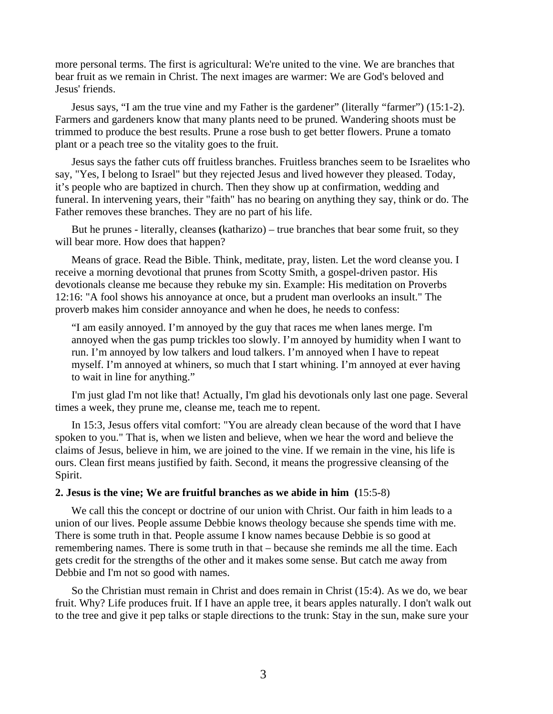more personal terms. The first is agricultural: We're united to the vine. We are branches that bear fruit as we remain in Christ. The next images are warmer: We are God's beloved and Jesus' friends.

 Jesus says, "I am the true vine and my Father is the gardener" (literally "farmer") (15:1-2). Farmers and gardeners know that many plants need to be pruned. Wandering shoots must be trimmed to produce the best results. Prune a rose bush to get better flowers. Prune a tomato plant or a peach tree so the vitality goes to the fruit.

 Jesus says the father cuts off fruitless branches. Fruitless branches seem to be Israelites who say, "Yes, I belong to Israel" but they rejected Jesus and lived however they pleased. Today, it's people who are baptized in church. Then they show up at confirmation, wedding and funeral. In intervening years, their "faith" has no bearing on anything they say, think or do. The Father removes these branches. They are no part of his life.

 But he prunes - literally, cleanses **(**katharizo) – true branches that bear some fruit, so they will bear more. How does that happen?

 Means of grace. Read the Bible. Think, meditate, pray, listen. Let the word cleanse you. I receive a morning devotional that prunes from Scotty Smith, a gospel-driven pastor. His devotionals cleanse me because they rebuke my sin. Example: His meditation on Proverbs 12:16: "A fool shows his annoyance at once, but a prudent man overlooks an insult." The proverb makes him consider annoyance and when he does, he needs to confess:

"I am easily annoyed. I'm annoyed by the guy that races me when lanes merge. I'm annoyed when the gas pump trickles too slowly. I'm annoyed by humidity when I want to run. I'm annoyed by low talkers and loud talkers. I'm annoyed when I have to repeat myself. I'm annoyed at whiners, so much that I start whining. I'm annoyed at ever having to wait in line for anything."

 I'm just glad I'm not like that! Actually, I'm glad his devotionals only last one page. Several times a week, they prune me, cleanse me, teach me to repent.

 In 15:3, Jesus offers vital comfort: "You are already clean because of the word that I have spoken to you." That is, when we listen and believe, when we hear the word and believe the claims of Jesus, believe in him, we are joined to the vine. If we remain in the vine, his life is ours. Clean first means justified by faith. Second, it means the progressive cleansing of the Spirit.

### **2. Jesus is the vine; We are fruitful branches as we abide in him (**15:5-8)

 We call this the concept or doctrine of our union with Christ. Our faith in him leads to a union of our lives. People assume Debbie knows theology because she spends time with me. There is some truth in that. People assume I know names because Debbie is so good at remembering names. There is some truth in that – because she reminds me all the time. Each gets credit for the strengths of the other and it makes some sense. But catch me away from Debbie and I'm not so good with names.

 So the Christian must remain in Christ and does remain in Christ (15:4). As we do, we bear fruit. Why? Life produces fruit. If I have an apple tree, it bears apples naturally. I don't walk out to the tree and give it pep talks or staple directions to the trunk: Stay in the sun, make sure your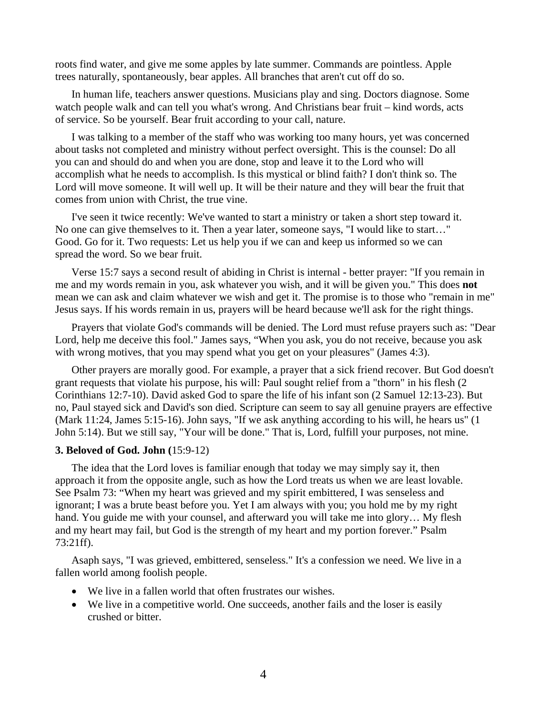roots find water, and give me some apples by late summer. Commands are pointless. Apple trees naturally, spontaneously, bear apples. All branches that aren't cut off do so.

 In human life, teachers answer questions. Musicians play and sing. Doctors diagnose. Some watch people walk and can tell you what's wrong. And Christians bear fruit – kind words, acts of service. So be yourself. Bear fruit according to your call, nature.

 I was talking to a member of the staff who was working too many hours, yet was concerned about tasks not completed and ministry without perfect oversight. This is the counsel: Do all you can and should do and when you are done, stop and leave it to the Lord who will accomplish what he needs to accomplish. Is this mystical or blind faith? I don't think so. The Lord will move someone. It will well up. It will be their nature and they will bear the fruit that comes from union with Christ, the true vine.

 I've seen it twice recently: We've wanted to start a ministry or taken a short step toward it. No one can give themselves to it. Then a year later, someone says, "I would like to start…" Good. Go for it. Two requests: Let us help you if we can and keep us informed so we can spread the word. So we bear fruit.

 Verse 15:7 says a second result of abiding in Christ is internal - better prayer: "If you remain in me and my words remain in you, ask whatever you wish, and it will be given you." This does **not**  mean we can ask and claim whatever we wish and get it. The promise is to those who "remain in me" Jesus says. If his words remain in us, prayers will be heard because we'll ask for the right things.

 Prayers that violate God's commands will be denied. The Lord must refuse prayers such as: "Dear Lord, help me deceive this fool." James says, "When you ask, you do not receive, because you ask with wrong motives, that you may spend what you get on your pleasures" (James 4:3).

 Other prayers are morally good. For example, a prayer that a sick friend recover. But God doesn't grant requests that violate his purpose, his will: Paul sought relief from a "thorn" in his flesh (2 Corinthians 12:7-10). David asked God to spare the life of his infant son (2 Samuel 12:13-23). But no, Paul stayed sick and David's son died. Scripture can seem to say all genuine prayers are effective (Mark 11:24, James 5:15-16). John says, "If we ask anything according to his will, he hears us" (1 John 5:14). But we still say, "Your will be done." That is, Lord, fulfill your purposes, not mine.

#### **3. Beloved of God. John (**15:9-12)

 The idea that the Lord loves is familiar enough that today we may simply say it, then approach it from the opposite angle, such as how the Lord treats us when we are least lovable. See Psalm 73: "When my heart was grieved and my spirit embittered, I was senseless and ignorant; I was a brute beast before you. Yet I am always with you; you hold me by my right hand. You guide me with your counsel, and afterward you will take me into glory… My flesh and my heart may fail, but God is the strength of my heart and my portion forever." Psalm 73:21ff).

 Asaph says, "I was grieved, embittered, senseless." It's a confession we need. We live in a fallen world among foolish people.

- We live in a fallen world that often frustrates our wishes.
- We live in a competitive world. One succeeds, another fails and the loser is easily crushed or bitter.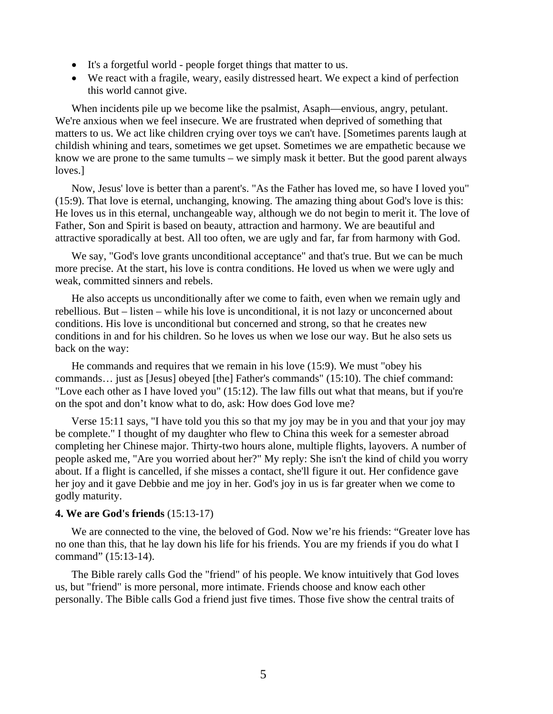- It's a forgetful world people forget things that matter to us.
- We react with a fragile, weary, easily distressed heart. We expect a kind of perfection this world cannot give.

 When incidents pile up we become like the psalmist, Asaph—envious, angry, petulant. We're anxious when we feel insecure. We are frustrated when deprived of something that matters to us. We act like children crying over toys we can't have. [Sometimes parents laugh at childish whining and tears, sometimes we get upset. Sometimes we are empathetic because we know we are prone to the same tumults – we simply mask it better. But the good parent always loves.]

 Now, Jesus' love is better than a parent's. "As the Father has loved me, so have I loved you" (15:9). That love is eternal, unchanging, knowing. The amazing thing about God's love is this: He loves us in this eternal, unchangeable way, although we do not begin to merit it. The love of Father, Son and Spirit is based on beauty, attraction and harmony. We are beautiful and attractive sporadically at best. All too often, we are ugly and far, far from harmony with God.

 We say, "God's love grants unconditional acceptance" and that's true. But we can be much more precise. At the start, his love is contra conditions. He loved us when we were ugly and weak, committed sinners and rebels.

 He also accepts us unconditionally after we come to faith, even when we remain ugly and rebellious. But – listen – while his love is unconditional, it is not lazy or unconcerned about conditions. His love is unconditional but concerned and strong, so that he creates new conditions in and for his children. So he loves us when we lose our way. But he also sets us back on the way:

 He commands and requires that we remain in his love (15:9). We must "obey his commands… just as [Jesus] obeyed [the] Father's commands" (15:10). The chief command: "Love each other as I have loved you" (15:12). The law fills out what that means, but if you're on the spot and don't know what to do, ask: How does God love me?

 Verse 15:11 says, "I have told you this so that my joy may be in you and that your joy may be complete." I thought of my daughter who flew to China this week for a semester abroad completing her Chinese major. Thirty-two hours alone, multiple flights, layovers. A number of people asked me, "Are you worried about her?" My reply: She isn't the kind of child you worry about. If a flight is cancelled, if she misses a contact, she'll figure it out. Her confidence gave her joy and it gave Debbie and me joy in her. God's joy in us is far greater when we come to godly maturity.

### **4. We are God's friends** (15:13-17)

 We are connected to the vine, the beloved of God. Now we're his friends: "Greater love has no one than this, that he lay down his life for his friends. You are my friends if you do what I command" (15:13-14).

 The Bible rarely calls God the "friend" of his people. We know intuitively that God loves us, but "friend" is more personal, more intimate. Friends choose and know each other personally. The Bible calls God a friend just five times. Those five show the central traits of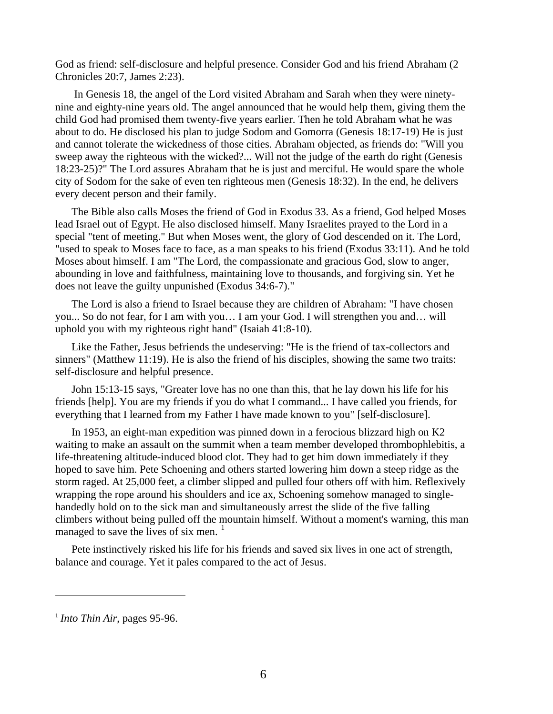God as friend: self-disclosure and helpful presence. Consider God and his friend Abraham (2 Chronicles 20:7, James 2:23).

 In Genesis 18, the angel of the Lord visited Abraham and Sarah when they were ninetynine and eighty-nine years old. The angel announced that he would help them, giving them the child God had promised them twenty-five years earlier. Then he told Abraham what he was about to do. He disclosed his plan to judge Sodom and Gomorra (Genesis 18:17-19) He is just and cannot tolerate the wickedness of those cities. Abraham objected, as friends do: "Will you sweep away the righteous with the wicked?... Will not the judge of the earth do right (Genesis 18:23-25)?" The Lord assures Abraham that he is just and merciful. He would spare the whole city of Sodom for the sake of even ten righteous men (Genesis 18:32). In the end, he delivers every decent person and their family.

 The Bible also calls Moses the friend of God in Exodus 33. As a friend, God helped Moses lead Israel out of Egypt. He also disclosed himself. Many Israelites prayed to the Lord in a special "tent of meeting." But when Moses went, the glory of God descended on it. The Lord, "used to speak to Moses face to face, as a man speaks to his friend (Exodus 33:11). And he told Moses about himself. I am "The Lord, the compassionate and gracious God, slow to anger, abounding in love and faithfulness, maintaining love to thousands, and forgiving sin. Yet he does not leave the guilty unpunished (Exodus 34:6-7)."

 The Lord is also a friend to Israel because they are children of Abraham: "I have chosen you... So do not fear, for I am with you… I am your God. I will strengthen you and… will uphold you with my righteous right hand" (Isaiah 41:8-10).

 Like the Father, Jesus befriends the undeserving: "He is the friend of tax-collectors and sinners" (Matthew 11:19). He is also the friend of his disciples, showing the same two traits: self-disclosure and helpful presence.

 John 15:13-15 says, "Greater love has no one than this, that he lay down his life for his friends [help]. You are my friends if you do what I command... I have called you friends, for everything that I learned from my Father I have made known to you" [self-disclosure].

 In 1953, an eight-man expedition was pinned down in a ferocious blizzard high on K2 waiting to make an assault on the summit when a team member developed thrombophlebitis, a life-threatening altitude-induced blood clot. They had to get him down immediately if they hoped to save him. Pete Schoening and others started lowering him down a steep ridge as the storm raged. At 25,000 feet, a climber slipped and pulled four others off with him. Reflexively wrapping the rope around his shoulders and ice ax, Schoening somehow managed to singlehandedly hold on to the sick man and simultaneously arrest the slide of the five falling climbers without being pulled off the mountain himself. Without a moment's warning, this man managed to save the lives of six men.  $\frac{1}{1}$  $\frac{1}{1}$  $\frac{1}{1}$ 

 Pete instinctively risked his life for his friends and saved six lives in one act of strength, balance and courage. Yet it pales compared to the act of Jesus.

 $\overline{a}$ 

<span id="page-5-0"></span><sup>&</sup>lt;sup>1</sup> *Into Thin Air*, pages 95-96.